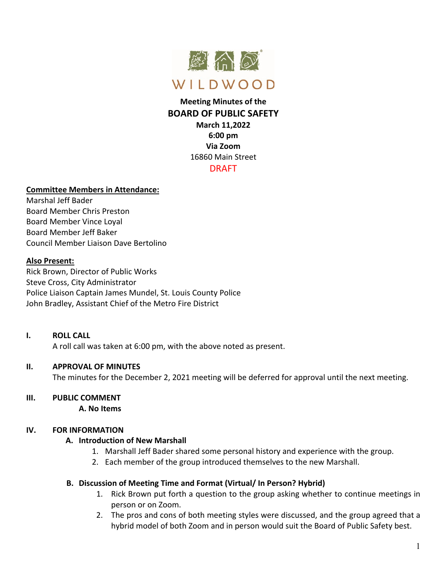

# **Meeting Minutes of the BOARD OF PUBLIC SAFETY March 11,2022 6:00 pm Via Zoom** 16860 Main Street DRAFT

### **Committee Members in Attendance:**

Marshal Jeff Bader Board Member Chris Preston Board Member Vince Loyal Board Member Jeff Baker Council Member Liaison Dave Bertolino

#### **Also Present:**

Rick Brown, Director of Public Works Steve Cross, City Administrator Police Liaison Captain James Mundel, St. Louis County Police John Bradley, Assistant Chief of the Metro Fire District

#### **I. ROLL CALL**

A roll call was taken at 6:00 pm, with the above noted as present.

## **II. APPROVAL OF MINUTES**

The minutes for the December 2, 2021 meeting will be deferred for approval until the next meeting.

## **III. PUBLIC COMMENT**

**A. No Items**

## **IV. FOR INFORMATION**

#### **A. Introduction of New Marshall**

- 1. Marshall Jeff Bader shared some personal history and experience with the group.
- 2. Each member of the group introduced themselves to the new Marshall.

## **B. Discussion of Meeting Time and Format (Virtual/ In Person? Hybrid)**

- 1. Rick Brown put forth a question to the group asking whether to continue meetings in person or on Zoom.
- 2. The pros and cons of both meeting styles were discussed, and the group agreed that a hybrid model of both Zoom and in person would suit the Board of Public Safety best.